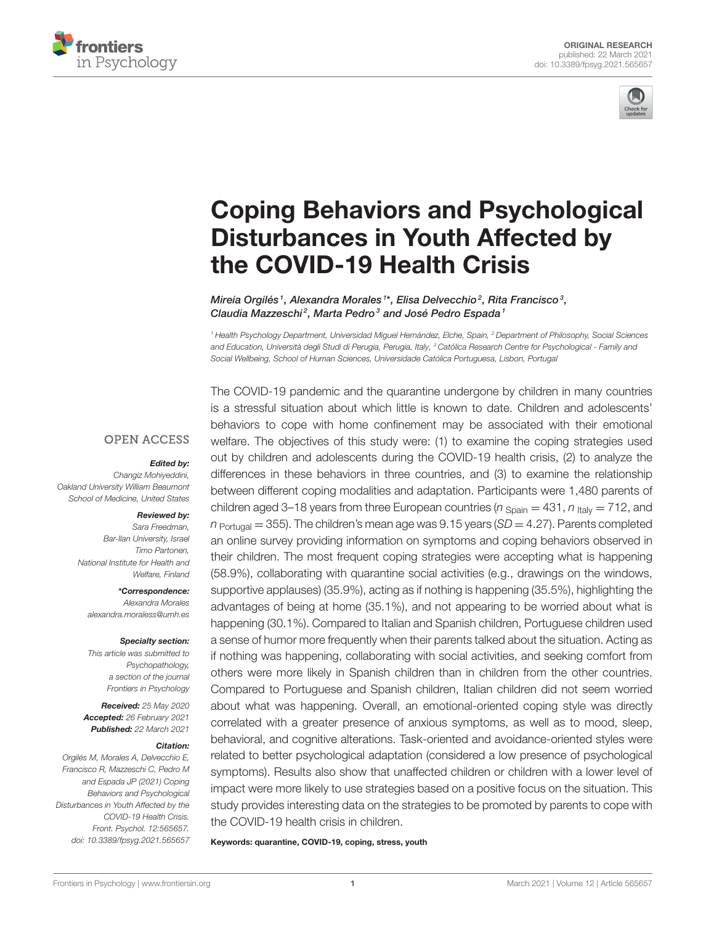



# [Coping Behaviors and Psychological](https://www.frontiersin.org/articles/10.3389/fpsyg.2021.565657/full) Disturbances in Youth Affected by the COVID-19 Health Crisis

Mireia Orgilés1, Alexandra Morales1\*, Elisa Delvecchio2, Rita Francisco3, Claudia Mazzeschi<sup>2</sup>, Marta Pedro<sup>3</sup> and José Pedro Espada<sup>1</sup>

<sup>1</sup> Health Psychology Department, Universidad Miguel Hernández, Elche, Spain, <sup>2</sup> Department of Philosophy, Social Sciences and Education, Università degli Studi di Perugia, Perugia, Italy, <sup>3</sup> Católica Research Centre for Psychological - Family and Social Wellbeing, School of Human Sciences, Universidade Católica Portuguesa, Lisbon, Portugal

#### **OPEN ACCESS**

#### Edited by:

Changiz Mohiyeddini, Oakland University William Beaumont School of Medicine, United States

#### Reviewed by:

Sara Freedman, Bar-Ilan University, Israel Timo Partonen, National Institute for Health and Welfare, Finland

\*Correspondence: Alexandra Morales [alexandra.moraless@umh.es](mailto:alexandra.moraless@umh.es)

#### Specialty section:

This article was submitted to Psychopathology, a section of the journal Frontiers in Psychology

Received: 25 May 2020 Accepted: 26 February 2021 Published: 22 March 2021

#### Citation:

Orgilés M, Morales A, Delvecchio E, Francisco R, Mazzeschi C, Pedro M and Espada JP (2021) Coping Behaviors and Psychological Disturbances in Youth Affected by the COVID-19 Health Crisis. Front. Psychol. 12:565657. doi: [10.3389/fpsyg.2021.565657](https://doi.org/10.3389/fpsyg.2021.565657) The COVID-19 pandemic and the quarantine undergone by children in many countries is a stressful situation about which little is known to date. Children and adolescents' behaviors to cope with home confinement may be associated with their emotional welfare. The objectives of this study were: (1) to examine the coping strategies used out by children and adolescents during the COVID-19 health crisis, (2) to analyze the differences in these behaviors in three countries, and (3) to examine the relationship between different coping modalities and adaptation. Participants were 1,480 parents of children aged 3–18 years from three European countries ( $n_{\text{Soain}} = 431$ ,  $n_{\text{lt}} = 712$ , and  $n_{\text{Portugal}} = 355$ ). The children's mean age was 9.15 years (SD = 4.27). Parents completed an online survey providing information on symptoms and coping behaviors observed in their children. The most frequent coping strategies were accepting what is happening (58.9%), collaborating with quarantine social activities (e.g., drawings on the windows, supportive applauses) (35.9%), acting as if nothing is happening (35.5%), highlighting the advantages of being at home (35.1%), and not appearing to be worried about what is happening (30.1%). Compared to Italian and Spanish children, Portuguese children used a sense of humor more frequently when their parents talked about the situation. Acting as if nothing was happening, collaborating with social activities, and seeking comfort from others were more likely in Spanish children than in children from the other countries. Compared to Portuguese and Spanish children, Italian children did not seem worried about what was happening. Overall, an emotional-oriented coping style was directly correlated with a greater presence of anxious symptoms, as well as to mood, sleep, behavioral, and cognitive alterations. Task-oriented and avoidance-oriented styles were related to better psychological adaptation (considered a low presence of psychological symptoms). Results also show that unaffected children or children with a lower level of impact were more likely to use strategies based on a positive focus on the situation. This study provides interesting data on the strategies to be promoted by parents to cope with the COVID-19 health crisis in children.

Keywords: quarantine, COVID-19, coping, stress, youth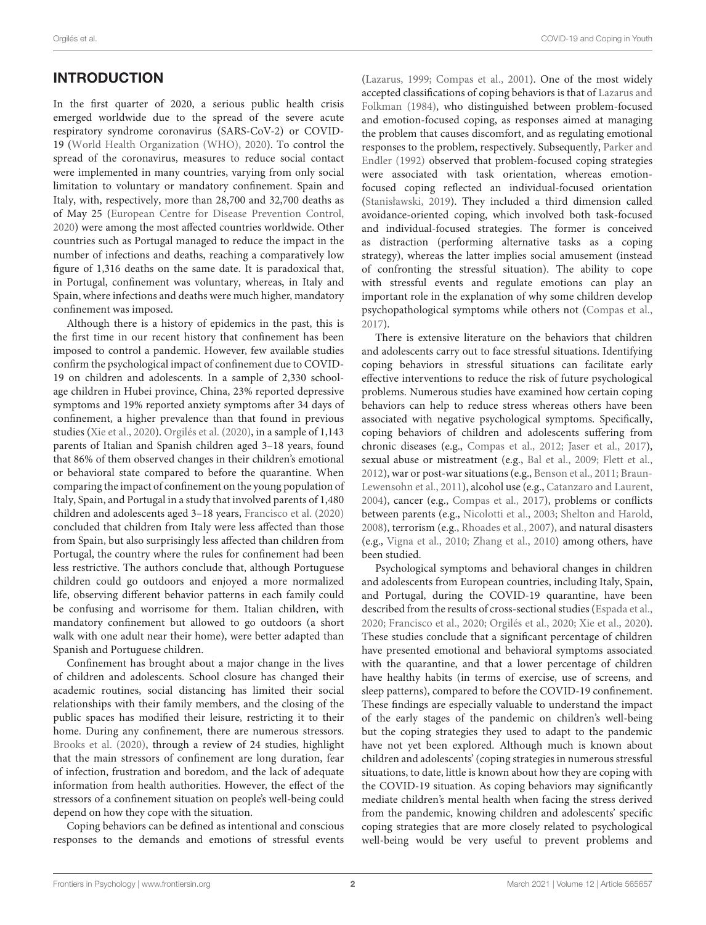# INTRODUCTION

In the first quarter of 2020, a serious public health crisis emerged worldwide due to the spread of the severe acute respiratory syndrome coronavirus (SARS-CoV-2) or COVID-19 [\(World Health Organization \(WHO\), 2020\)](#page-8-0). To control the spread of the coronavirus, measures to reduce social contact were implemented in many countries, varying from only social limitation to voluntary or mandatory confinement. Spain and Italy, with, respectively, more than 28,700 and 32,700 deaths as of May 25 [\(European Centre for Disease Prevention Control,](#page-8-1) [2020\)](#page-8-1) were among the most affected countries worldwide. Other countries such as Portugal managed to reduce the impact in the number of infections and deaths, reaching a comparatively low figure of 1,316 deaths on the same date. It is paradoxical that, in Portugal, confinement was voluntary, whereas, in Italy and Spain, where infections and deaths were much higher, mandatory confinement was imposed.

Although there is a history of epidemics in the past, this is the first time in our recent history that confinement has been imposed to control a pandemic. However, few available studies confirm the psychological impact of confinement due to COVID-19 on children and adolescents. In a sample of 2,330 schoolage children in Hubei province, China, 23% reported depressive symptoms and 19% reported anxiety symptoms after 34 days of confinement, a higher prevalence than that found in previous studies [\(Xie et al., 2020\)](#page-8-2). [Orgilés et al. \(2020\)](#page-8-3), in a sample of 1,143 parents of Italian and Spanish children aged 3–18 years, found that 86% of them observed changes in their children's emotional or behavioral state compared to before the quarantine. When comparing the impact of confinement on the young population of Italy, Spain, and Portugal in a study that involved parents of 1,480 children and adolescents aged 3–18 years, [Francisco et al. \(2020\)](#page-8-4) concluded that children from Italy were less affected than those from Spain, but also surprisingly less affected than children from Portugal, the country where the rules for confinement had been less restrictive. The authors conclude that, although Portuguese children could go outdoors and enjoyed a more normalized life, observing different behavior patterns in each family could be confusing and worrisome for them. Italian children, with mandatory confinement but allowed to go outdoors (a short walk with one adult near their home), were better adapted than Spanish and Portuguese children.

Confinement has brought about a major change in the lives of children and adolescents. School closure has changed their academic routines, social distancing has limited their social relationships with their family members, and the closing of the public spaces has modified their leisure, restricting it to their home. During any confinement, there are numerous stressors. [Brooks et al. \(2020\)](#page-8-5), through a review of 24 studies, highlight that the main stressors of confinement are long duration, fear of infection, frustration and boredom, and the lack of adequate information from health authorities. However, the effect of the stressors of a confinement situation on people's well-being could depend on how they cope with the situation.

Coping behaviors can be defined as intentional and conscious responses to the demands and emotions of stressful events [\(Lazarus, 1999;](#page-8-6) [Compas et al., 2001\)](#page-8-7). One of the most widely accepted classifications of coping behaviors is that of Lazarus and Folkman [\(1984\)](#page-8-8), who distinguished between problem-focused and emotion-focused coping, as responses aimed at managing the problem that causes discomfort, and as regulating emotional responses to the problem, respectively. Subsequently, Parker and Endler [\(1992\)](#page-8-9) observed that problem-focused coping strategies were associated with task orientation, whereas emotionfocused coping reflected an individual-focused orientation [\(Stanisławski, 2019\)](#page-8-10). They included a third dimension called avoidance-oriented coping, which involved both task-focused and individual-focused strategies. The former is conceived as distraction (performing alternative tasks as a coping strategy), whereas the latter implies social amusement (instead of confronting the stressful situation). The ability to cope with stressful events and regulate emotions can play an important role in the explanation of why some children develop psychopathological symptoms while others not [\(Compas et al.,](#page-8-11) [2017\)](#page-8-11).

There is extensive literature on the behaviors that children and adolescents carry out to face stressful situations. Identifying coping behaviors in stressful situations can facilitate early effective interventions to reduce the risk of future psychological problems. Numerous studies have examined how certain coping behaviors can help to reduce stress whereas others have been associated with negative psychological symptoms. Specifically, coping behaviors of children and adolescents suffering from chronic diseases (e.g., [Compas et al., 2012;](#page-8-12) [Jaser et al., 2017\)](#page-8-13), sexual abuse or mistreatment (e.g., [Bal et al., 2009;](#page-8-14) [Flett et al.,](#page-8-15) [2012\)](#page-8-15), war or post-war situations (e.g., [Benson et al., 2011;](#page-8-16) Braun-Lewensohn et al., [2011\)](#page-8-17), alcohol use (e.g., [Catanzaro and Laurent,](#page-8-18) [2004\)](#page-8-18), cancer (e.g., [Compas et al., 2017\)](#page-8-11), problems or conflicts between parents (e.g., [Nicolotti et al., 2003;](#page-8-19) [Shelton and Harold,](#page-8-20) [2008\)](#page-8-20), terrorism (e.g., [Rhoades et al., 2007\)](#page-8-21), and natural disasters (e.g., [Vigna et al., 2010;](#page-8-22) [Zhang et al., 2010\)](#page-8-23) among others, have been studied.

Psychological symptoms and behavioral changes in children and adolescents from European countries, including Italy, Spain, and Portugal, during the COVID-19 quarantine, have been described from the results of cross-sectional studies [\(Espada et al.,](#page-8-24) [2020;](#page-8-24) [Francisco et al., 2020;](#page-8-4) [Orgilés et al., 2020;](#page-8-3) [Xie et al., 2020\)](#page-8-2). These studies conclude that a significant percentage of children have presented emotional and behavioral symptoms associated with the quarantine, and that a lower percentage of children have healthy habits (in terms of exercise, use of screens, and sleep patterns), compared to before the COVID-19 confinement. These findings are especially valuable to understand the impact of the early stages of the pandemic on children's well-being but the coping strategies they used to adapt to the pandemic have not yet been explored. Although much is known about children and adolescents' (coping strategies in numerous stressful situations, to date, little is known about how they are coping with the COVID-19 situation. As coping behaviors may significantly mediate children's mental health when facing the stress derived from the pandemic, knowing children and adolescents' specific coping strategies that are more closely related to psychological well-being would be very useful to prevent problems and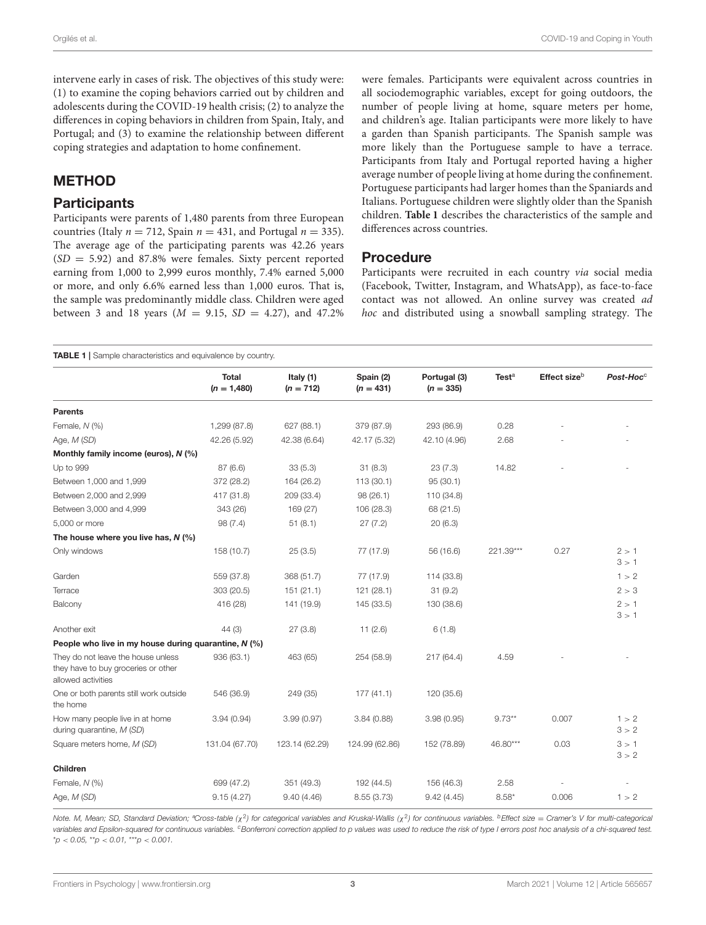intervene early in cases of risk. The objectives of this study were: (1) to examine the coping behaviors carried out by children and adolescents during the COVID-19 health crisis; (2) to analyze the differences in coping behaviors in children from Spain, Italy, and Portugal; and (3) to examine the relationship between different coping strategies and adaptation to home confinement.

# METHOD

### **Participants**

Participants were parents of 1,480 parents from three European countries (Italy  $n = 712$ , Spain  $n = 431$ , and Portugal  $n = 335$ ). The average age of the participating parents was 42.26 years  $(SD = 5.92)$  and 87.8% were females. Sixty percent reported earning from 1,000 to 2,999 euros monthly, 7.4% earned 5,000 or more, and only 6.6% earned less than 1,000 euros. That is, the sample was predominantly middle class. Children were aged between 3 and 18 years ( $M = 9.15$ ,  $SD = 4.27$ ), and 47.2% were females. Participants were equivalent across countries in all sociodemographic variables, except for going outdoors, the number of people living at home, square meters per home, and children's age. Italian participants were more likely to have a garden than Spanish participants. The Spanish sample was more likely than the Portuguese sample to have a terrace. Participants from Italy and Portugal reported having a higher average number of people living at home during the confinement. Portuguese participants had larger homes than the Spaniards and Italians. Portuguese children were slightly older than the Spanish children. **[Table 1](#page-2-0)** describes the characteristics of the sample and differences across countries.

### Procedure

Participants were recruited in each country via social media (Facebook, Twitter, Instagram, and WhatsApp), as face-to-face contact was not allowed. An online survey was created ad hoc and distributed using a snowball sampling strategy. The

<span id="page-2-0"></span>

|                                                                                                 |                        |                          |                          |                             |                   | Effect size <sup>b</sup> | Post-Hoc <sup>c</sup> |
|-------------------------------------------------------------------------------------------------|------------------------|--------------------------|--------------------------|-----------------------------|-------------------|--------------------------|-----------------------|
|                                                                                                 | Total<br>$(n = 1,480)$ | Italy (1)<br>$(n = 712)$ | Spain (2)<br>$(n = 431)$ | Portugal (3)<br>$(n = 335)$ | Test <sup>a</sup> |                          |                       |
| <b>Parents</b>                                                                                  |                        |                          |                          |                             |                   |                          |                       |
| Female, N (%)                                                                                   | 1,299 (87.8)           | 627 (88.1)               | 379 (87.9)               | 293 (86.9)                  | 0.28              |                          |                       |
| Age, M (SD)                                                                                     | 42.26 (5.92)           | 42.38 (6.64)             | 42.17 (5.32)             | 42.10 (4.96)                | 2.68              |                          |                       |
| Monthly family income (euros), N (%)                                                            |                        |                          |                          |                             |                   |                          |                       |
| Up to 999                                                                                       | 87(6.6)                | 33(5.3)                  | 31(8.3)                  | 23(7.3)                     | 14.82             |                          |                       |
| Between 1,000 and 1,999                                                                         | 372 (28.2)             | 164 (26.2)               | 113(30.1)                | 95(30.1)                    |                   |                          |                       |
| Between 2,000 and 2,999                                                                         | 417 (31.8)             | 209 (33.4)               | 98(26.1)                 | 110 (34.8)                  |                   |                          |                       |
| Between 3,000 and 4,999                                                                         | 343 (26)               | 169 (27)                 | 106 (28.3)               | 68 (21.5)                   |                   |                          |                       |
| 5,000 or more                                                                                   | 98 (7.4)               | 51(8.1)                  | 27(7.2)                  | 20(6.3)                     |                   |                          |                       |
| The house where you live has, $N$ (%)                                                           |                        |                          |                          |                             |                   |                          |                       |
| Only windows                                                                                    | 158 (10.7)             | 25(3.5)                  | 77 (17.9)                | 56 (16.6)                   | 221.39***         | 0.27                     | 2 > 1<br>3 > 1        |
| Garden                                                                                          | 559 (37.8)             | 368 (51.7)               | 77 (17.9)                | 114 (33.8)                  |                   |                          | 1 > 2                 |
| Terrace                                                                                         | 303 (20.5)             | 151 (21.1)               | 121(28.1)                | 31(9.2)                     |                   |                          | 2 > 3                 |
| Balcony                                                                                         | 416 (28)               | 141 (19.9)               | 145 (33.5)               | 130 (38.6)                  |                   |                          | 2 > 1<br>3 > 1        |
| Another exit                                                                                    | 44(3)                  | 27(3.8)                  | 11(2.6)                  | 6(1.8)                      |                   |                          |                       |
| People who live in my house during quarantine, N (%)                                            |                        |                          |                          |                             |                   |                          |                       |
| They do not leave the house unless<br>they have to buy groceries or other<br>allowed activities | 936 (63.1)             | 463 (65)                 | 254 (58.9)               | 217 (64.4)                  | 4.59              |                          |                       |
| One or both parents still work outside<br>the home                                              | 546 (36.9)             | 249 (35)                 | 177(41.1)                | 120 (35.6)                  |                   |                          |                       |
| How many people live in at home<br>during quarantine, M (SD)                                    | 3.94(0.94)             | 3.99(0.97)               | 3.84(0.88)               | 3.98(0.95)                  | $9.73**$          | 0.007                    | 1 > 2<br>3 > 2        |
| Square meters home, M (SD)                                                                      | 131.04 (67.70)         | 123.14 (62.29)           | 124.99 (62.86)           | 152 (78.89)                 | 46.80***          | 0.03                     | 3 > 1<br>3 > 2        |
| Children                                                                                        |                        |                          |                          |                             |                   |                          |                       |
| Female, N (%)                                                                                   | 699 (47.2)             | 351 (49.3)               | 192 (44.5)               | 156 (46.3)                  | 2.58              |                          |                       |
| Age, M (SD)                                                                                     | 9.15(4.27)             | 9.40(4.46)               | 8.55 (3.73)              | 9.42(4.45)                  | $8.58*$           | 0.006                    | 1 > 2                 |

Note. M, Mean; SD, Standard Deviation; <sup>a</sup>Cross-table (χ<sup>2</sup>) for categorical variables and Kruskal-Wallis (χ<sup>2</sup>) for continuous variables. <sup>b</sup>Effect size = Cramer's V for multi-categorica. variables and Epsilon-squared for continuous variables. <sup>c</sup> Bonferroni correction applied to p values was used to reduce the risk of type I errors post hoc analysis of a chi-squared test.  $*p < 0.05$ ,  $*p < 0.01$ ,  $**p < 0.001$ .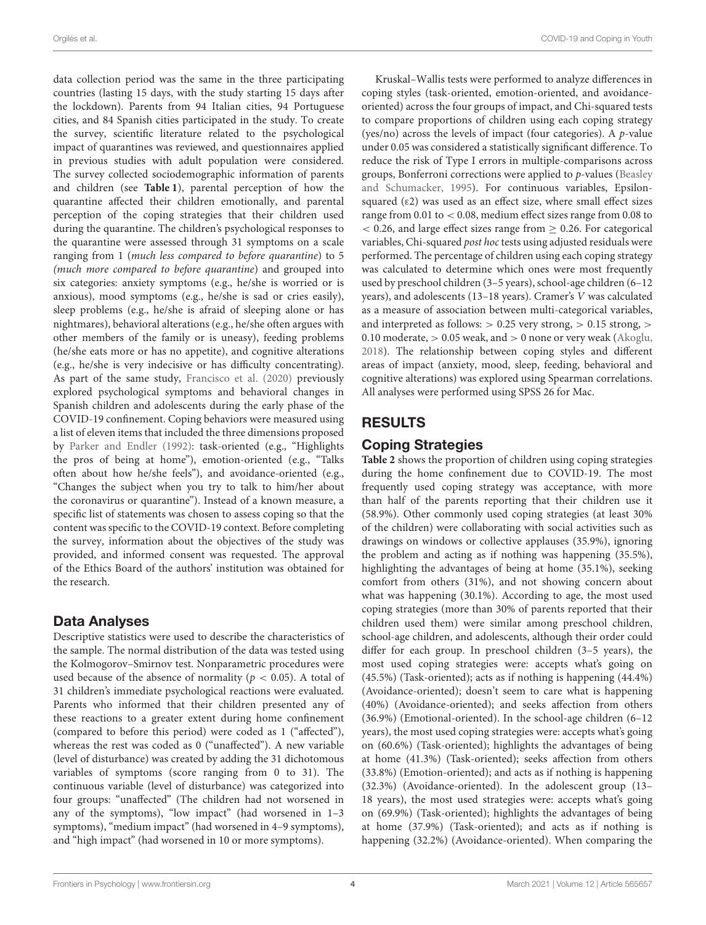data collection period was the same in the three participating countries (lasting 15 days, with the study starting 15 days after the lockdown). Parents from 94 Italian cities, 94 Portuguese cities, and 84 Spanish cities participated in the study. To create the survey, scientific literature related to the psychological impact of quarantines was reviewed, and questionnaires applied in previous studies with adult population were considered. The survey collected sociodemographic information of parents and children (see **[Table 1](#page-2-0)**), parental perception of how the quarantine affected their children emotionally, and parental perception of the coping strategies that their children used during the quarantine. The children's psychological responses to the quarantine were assessed through 31 symptoms on a scale ranging from 1 (much less compared to before quarantine) to 5 (much more compared to before quarantine) and grouped into six categories: anxiety symptoms (e.g., he/she is worried or is anxious), mood symptoms (e.g., he/she is sad or cries easily), sleep problems (e.g., he/she is afraid of sleeping alone or has nightmares), behavioral alterations (e.g., he/she often argues with other members of the family or is uneasy), feeding problems (he/she eats more or has no appetite), and cognitive alterations (e.g., he/she is very indecisive or has difficulty concentrating). As part of the same study, [Francisco et al. \(2020\)](#page-8-4) previously explored psychological symptoms and behavioral changes in Spanish children and adolescents during the early phase of the COVID-19 confinement. Coping behaviors were measured using a list of eleven items that included the three dimensions proposed by [Parker and Endler \(1992\)](#page-8-9): task-oriented (e.g., "Highlights the pros of being at home"), emotion-oriented (e.g., "Talks often about how he/she feels"), and avoidance-oriented (e.g., "Changes the subject when you try to talk to him/her about the coronavirus or quarantine"). Instead of a known measure, a specific list of statements was chosen to assess coping so that the content was specific to the COVID-19 context. Before completing the survey, information about the objectives of the study was provided, and informed consent was requested. The approval of the Ethics Board of the authors' institution was obtained for the research.

### Data Analyses

Descriptive statistics were used to describe the characteristics of the sample. The normal distribution of the data was tested using the Kolmogorov–Smirnov test. Nonparametric procedures were used because of the absence of normality ( $p < 0.05$ ). A total of 31 children's immediate psychological reactions were evaluated. Parents who informed that their children presented any of these reactions to a greater extent during home confinement (compared to before this period) were coded as 1 ("affected"), whereas the rest was coded as 0 ("unaffected"). A new variable (level of disturbance) was created by adding the 31 dichotomous variables of symptoms (score ranging from 0 to 31). The continuous variable (level of disturbance) was categorized into four groups: "unaffected" (The children had not worsened in any of the symptoms), "low impact" (had worsened in 1–3 symptoms), "medium impact" (had worsened in 4–9 symptoms), and "high impact" (had worsened in 10 or more symptoms).

Kruskal–Wallis tests were performed to analyze differences in coping styles (task-oriented, emotion-oriented, and avoidanceoriented) across the four groups of impact, and Chi-squared tests to compare proportions of children using each coping strategy (yes/no) across the levels of impact (four categories). A  $p$ -value under 0.05 was considered a statistically significant difference. To reduce the risk of Type I errors in multiple-comparisons across groups, Bonferroni corrections were applied to p-values (Beasley and Schumacker, [1995\)](#page-8-25). For continuous variables, Epsilonsquared (ε2) was used as an effect size, where small effect sizes range from 0.01 to < 0.08, medium effect sizes range from 0.08 to  $<$  0.26, and large effect sizes range from  $\geq$  0.26. For categorical variables, Chi-squared post hoc tests using adjusted residuals were performed. The percentage of children using each coping strategy was calculated to determine which ones were most frequently used by preschool children (3–5 years), school-age children (6–12 years), and adolescents (13–18 years). Cramer's V was calculated as a measure of association between multi-categorical variables, and interpreted as follows:  $> 0.25$  very strong,  $> 0.15$  strong,  $>$ 0.10 moderate,  $> 0.05$  weak, and  $> 0$  none or very weak [\(Akoglu,](#page-8-26) [2018\)](#page-8-26). The relationship between coping styles and different areas of impact (anxiety, mood, sleep, feeding, behavioral and cognitive alterations) was explored using Spearman correlations. All analyses were performed using SPSS 26 for Mac.

# RESULTS

# Coping Strategies

**[Table 2](#page-4-0)** shows the proportion of children using coping strategies during the home confinement due to COVID-19. The most frequently used coping strategy was acceptance, with more than half of the parents reporting that their children use it (58.9%). Other commonly used coping strategies (at least 30% of the children) were collaborating with social activities such as drawings on windows or collective applauses (35.9%), ignoring the problem and acting as if nothing was happening (35.5%), highlighting the advantages of being at home (35.1%), seeking comfort from others (31%), and not showing concern about what was happening (30.1%). According to age, the most used coping strategies (more than 30% of parents reported that their children used them) were similar among preschool children, school-age children, and adolescents, although their order could differ for each group. In preschool children (3–5 years), the most used coping strategies were: accepts what's going on (45.5%) (Task-oriented); acts as if nothing is happening (44.4%) (Avoidance-oriented); doesn't seem to care what is happening (40%) (Avoidance-oriented); and seeks affection from others (36.9%) (Emotional-oriented). In the school-age children (6–12 years), the most used coping strategies were: accepts what's going on (60.6%) (Task-oriented); highlights the advantages of being at home (41.3%) (Task-oriented); seeks affection from others (33.8%) (Emotion-oriented); and acts as if nothing is happening (32.3%) (Avoidance-oriented). In the adolescent group (13– 18 years), the most used strategies were: accepts what's going on (69.9%) (Task-oriented); highlights the advantages of being at home (37.9%) (Task-oriented); and acts as if nothing is happening (32.2%) (Avoidance-oriented). When comparing the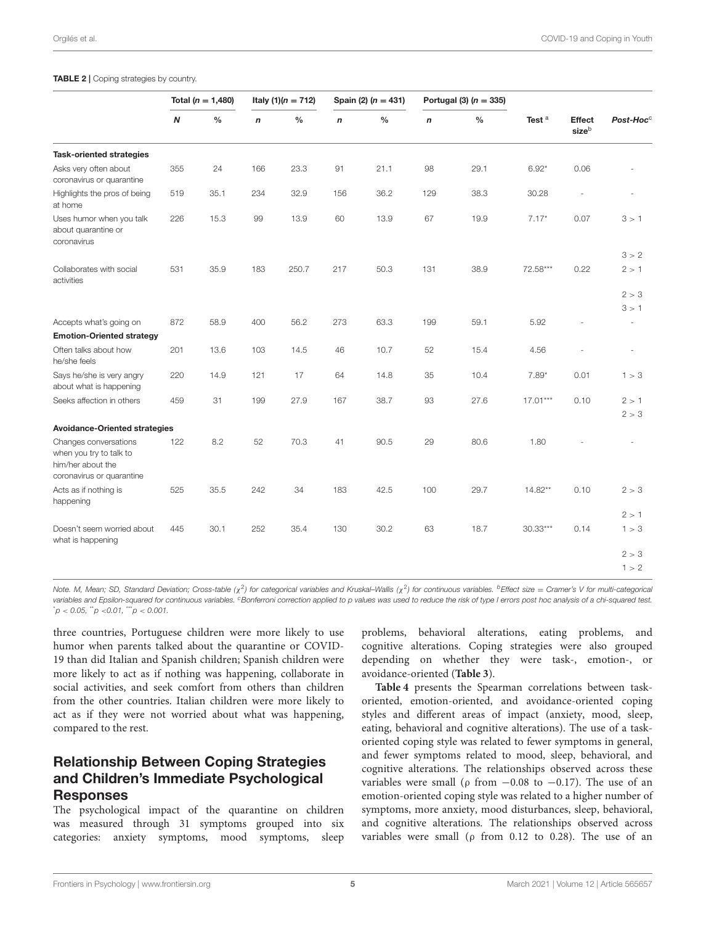#### <span id="page-4-0"></span>TABLE 2 | Coping strategies by country.

|                                                                                                    | Total ( $n = 1,480$ ) |               | Italy $(1)(n = 712)$ |               | Spain (2) $(n = 431)$ |      | Portugal (3) $(n = 335)$ |               |                   |                          |                          |
|----------------------------------------------------------------------------------------------------|-----------------------|---------------|----------------------|---------------|-----------------------|------|--------------------------|---------------|-------------------|--------------------------|--------------------------|
|                                                                                                    | N                     | $\frac{0}{0}$ | $\mathsf{n}$         | $\frac{0}{0}$ | n                     | $\%$ | $\boldsymbol{n}$         | $\frac{0}{0}$ | Test <sup>a</sup> | <b>Effect</b><br>sizeb   | Post-Hoc <sup>c</sup>    |
| <b>Task-oriented strategies</b>                                                                    |                       |               |                      |               |                       |      |                          |               |                   |                          |                          |
| Asks very often about<br>coronavirus or quarantine                                                 | 355                   | 24            | 166                  | 23.3          | 91                    | 21.1 | 98                       | 29.1          | $6.92*$           | 0.06                     |                          |
| Highlights the pros of being<br>at home                                                            | 519                   | 35.1          | 234                  | 32.9          | 156                   | 36.2 | 129                      | 38.3          | 30.28             |                          |                          |
| Uses humor when you talk<br>about quarantine or<br>coronavirus                                     | 226                   | 15.3          | 99                   | 13.9          | 60                    | 13.9 | 67                       | 19.9          | $7.17*$           | 0.07                     | 3 > 1                    |
|                                                                                                    |                       |               |                      |               |                       |      |                          |               |                   |                          | 3 > 2                    |
| Collaborates with social<br>activities                                                             | 531                   | 35.9          | 183                  | 250.7         | 217                   | 50.3 | 131                      | 38.9          | 72.58***          | 0.22                     | 2 > 1                    |
|                                                                                                    |                       |               |                      |               |                       |      |                          |               |                   |                          | 2 > 3                    |
|                                                                                                    |                       |               |                      |               |                       |      |                          |               |                   |                          | 3 > 1                    |
| Accepts what's going on                                                                            | 872                   | 58.9          | 400                  | 56.2          | 273                   | 63.3 | 199                      | 59.1          | 5.92              | $\overline{\phantom{a}}$ | $\overline{\phantom{a}}$ |
| <b>Emotion-Oriented strategy</b>                                                                   |                       |               |                      |               |                       |      |                          |               |                   |                          |                          |
| Often talks about how<br>he/she feels                                                              | 201                   | 13.6          | 103                  | 14.5          | 46                    | 10.7 | 52                       | 15.4          | 4.56              | ä,                       | ÷,                       |
| Says he/she is very angry<br>about what is happening                                               | 220                   | 14.9          | 121                  | 17            | 64                    | 14.8 | 35                       | 10.4          | $7.89*$           | 0.01                     | 1 > 3                    |
| Seeks affection in others                                                                          | 459                   | 31            | 199                  | 27.9          | 167                   | 38.7 | 93                       | 27.6          | $17.01***$        | 0.10                     | 2 > 1                    |
|                                                                                                    |                       |               |                      |               |                       |      |                          |               |                   |                          | 2 > 3                    |
| <b>Avoidance-Oriented strategies</b>                                                               |                       |               |                      |               |                       |      |                          |               |                   |                          |                          |
| Changes conversations<br>when you try to talk to<br>him/her about the<br>coronavirus or quarantine | 122                   | 8.2           | 52                   | 70.3          | 41                    | 90.5 | 29                       | 80.6          | 1.80              |                          |                          |
| Acts as if nothing is<br>happening                                                                 | 525                   | 35.5          | 242                  | 34            | 183                   | 42.5 | 100                      | 29.7          | $14.82**$         | 0.10                     | 2 > 3                    |
|                                                                                                    |                       |               |                      |               |                       |      |                          |               |                   |                          | 2 > 1                    |
| Doesn't seem worried about<br>what is happening                                                    | 445                   | 30.1          | 252                  | 35.4          | 130                   | 30.2 | 63                       | 18.7          | $30.33***$        | 0.14                     | 1 > 3                    |
|                                                                                                    |                       |               |                      |               |                       |      |                          |               |                   |                          | 2 > 3                    |
|                                                                                                    |                       |               |                      |               |                       |      |                          |               |                   |                          | 1 > 2                    |

Note. M, Mean; SD, Standard Deviation; Cross-table (χ<sup>2</sup>) for categorical variables and Kruskal–Wallis (χ<sup>2</sup>) for continuous variables. <sup>b</sup>Effect size = Cramer's V for multi-categorica. variables and Epsilon-squared for continuous variables. <sup>c</sup> Bonferroni correction applied to p values was used to reduce the risk of type I errors post hoc analysis of a chi-squared test.  $p < 0.05$ ,  $p < 0.01$ ,  $p < 0.001$ .

three countries, Portuguese children were more likely to use humor when parents talked about the quarantine or COVID-19 than did Italian and Spanish children; Spanish children were more likely to act as if nothing was happening, collaborate in social activities, and seek comfort from others than children from the other countries. Italian children were more likely to act as if they were not worried about what was happening, compared to the rest.

# Relationship Between Coping Strategies and Children's Immediate Psychological Responses

The psychological impact of the quarantine on children was measured through 31 symptoms grouped into six categories: anxiety symptoms, mood symptoms, sleep problems, behavioral alterations, eating problems, and cognitive alterations. Coping strategies were also grouped depending on whether they were task-, emotion-, or avoidance-oriented (**[Table 3](#page-5-0)**).

**[Table 4](#page-5-1)** presents the Spearman correlations between taskoriented, emotion-oriented, and avoidance-oriented coping styles and different areas of impact (anxiety, mood, sleep, eating, behavioral and cognitive alterations). The use of a taskoriented coping style was related to fewer symptoms in general, and fewer symptoms related to mood, sleep, behavioral, and cognitive alterations. The relationships observed across these variables were small ( $\rho$  from  $-0.08$  to  $-0.17$ ). The use of an emotion-oriented coping style was related to a higher number of symptoms, more anxiety, mood disturbances, sleep, behavioral, and cognitive alterations. The relationships observed across variables were small ( $\rho$  from 0.12 to 0.28). The use of an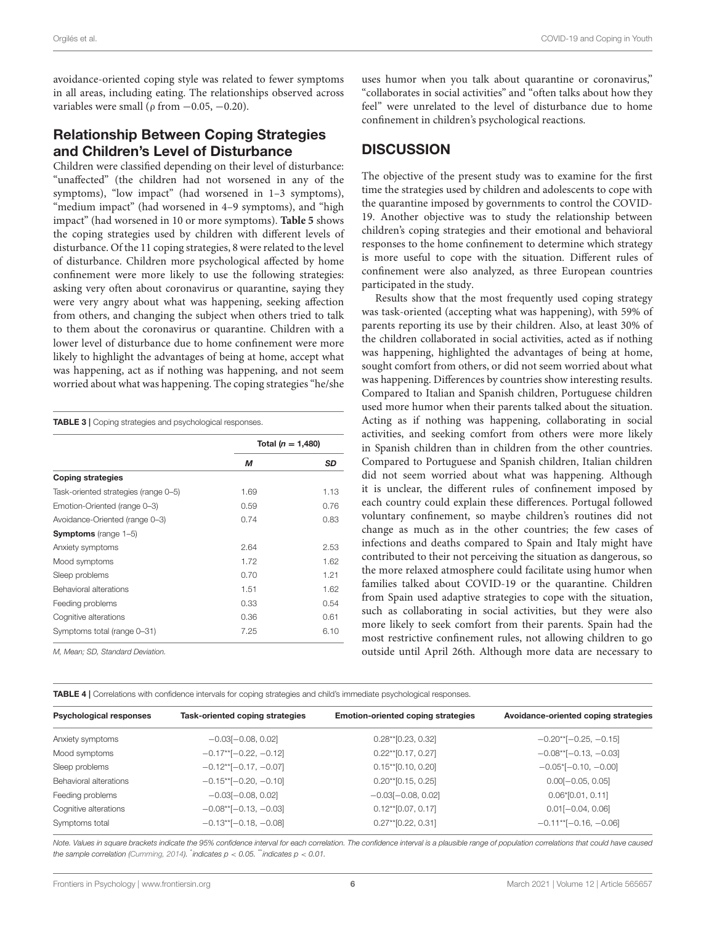avoidance-oriented coping style was related to fewer symptoms in all areas, including eating. The relationships observed across variables were small ( $\rho$  from  $-0.05, -0.20$ ).

# Relationship Between Coping Strategies and Children's Level of Disturbance

Children were classified depending on their level of disturbance: "unaffected" (the children had not worsened in any of the symptoms), "low impact" (had worsened in 1–3 symptoms), "medium impact" (had worsened in 4–9 symptoms), and "high impact" (had worsened in 10 or more symptoms). **[Table 5](#page-6-0)** shows the coping strategies used by children with different levels of disturbance. Of the 11 coping strategies, 8 were related to the level of disturbance. Children more psychological affected by home confinement were more likely to use the following strategies: asking very often about coronavirus or quarantine, saying they were very angry about what was happening, seeking affection from others, and changing the subject when others tried to talk to them about the coronavirus or quarantine. Children with a lower level of disturbance due to home confinement were more likely to highlight the advantages of being at home, accept what was happening, act as if nothing was happening, and not seem worried about what was happening. The coping strategies "he/she

<span id="page-5-0"></span>

|                                      | Total ( $n = 1,480$ ) |      |  |
|--------------------------------------|-----------------------|------|--|
|                                      | М                     | SD   |  |
| <b>Coping strategies</b>             |                       |      |  |
| Task-oriented strategies (range 0-5) | 1.69                  | 1.13 |  |
| Emotion-Oriented (range 0-3)         | 0.59                  | 0.76 |  |
| Avoidance-Oriented (range 0-3)       | 0.74                  | 0.83 |  |
| <b>Symptoms</b> (range 1-5)          |                       |      |  |
| Anxiety symptoms                     | 2.64                  | 2.53 |  |
| Mood symptoms                        | 1.72                  | 1.62 |  |
| Sleep problems                       | 0.70                  | 1.21 |  |
| Behavioral alterations               | 1.51                  | 1.62 |  |
| Feeding problems                     | 0.33                  | 0.54 |  |
| Cognitive alterations                | 0.36                  | 0.61 |  |
| Symptoms total (range 0-31)          | 7.25                  | 6.10 |  |

M, Mean; SD, Standard Deviation.

uses humor when you talk about quarantine or coronavirus," "collaborates in social activities" and "often talks about how they feel" were unrelated to the level of disturbance due to home confinement in children's psychological reactions.

# **DISCUSSION**

The objective of the present study was to examine for the first time the strategies used by children and adolescents to cope with the quarantine imposed by governments to control the COVID-19. Another objective was to study the relationship between children's coping strategies and their emotional and behavioral responses to the home confinement to determine which strategy is more useful to cope with the situation. Different rules of confinement were also analyzed, as three European countries participated in the study.

Results show that the most frequently used coping strategy was task-oriented (accepting what was happening), with 59% of parents reporting its use by their children. Also, at least 30% of the children collaborated in social activities, acted as if nothing was happening, highlighted the advantages of being at home, sought comfort from others, or did not seem worried about what was happening. Differences by countries show interesting results. Compared to Italian and Spanish children, Portuguese children used more humor when their parents talked about the situation. Acting as if nothing was happening, collaborating in social activities, and seeking comfort from others were more likely in Spanish children than in children from the other countries. Compared to Portuguese and Spanish children, Italian children did not seem worried about what was happening. Although it is unclear, the different rules of confinement imposed by each country could explain these differences. Portugal followed voluntary confinement, so maybe children's routines did not change as much as in the other countries; the few cases of infections and deaths compared to Spain and Italy might have contributed to their not perceiving the situation as dangerous, so the more relaxed atmosphere could facilitate using humor when families talked about COVID-19 or the quarantine. Children from Spain used adaptive strategies to cope with the situation, such as collaborating in social activities, but they were also more likely to seek comfort from their parents. Spain had the most restrictive confinement rules, not allowing children to go outside until April 26th. Although more data are necessary to

<span id="page-5-1"></span>

| <b>TABLE 4</b>   Correlations with confidence intervals for coping strategies and child's immediate psychological responses. |
|------------------------------------------------------------------------------------------------------------------------------|
|------------------------------------------------------------------------------------------------------------------------------|

| <b>Psychological responses</b> | Task-oriented coping strategies | <b>Emotion-oriented coping strategies</b> | Avoidance-oriented coping strategies  |  |  |
|--------------------------------|---------------------------------|-------------------------------------------|---------------------------------------|--|--|
| Anxiety symptoms               | $-0.03[-0.08, 0.02]$            | $0.28**$ [0.23, 0.32]                     | $-0.20**[-0.25, -0.15]$               |  |  |
| Mood symptoms                  | $-0.17**[-0.22, -0.12]$         | $0.22**$ [0.17, 0.27]                     | $-0.08**[-0.13, -0.03]$               |  |  |
| Sleep problems                 | $-0.12**[-0.17, -0.07]$         | $0.15**$ [0.10, 0.20]                     | $-0.05$ <sup>*</sup> $[-0.10, -0.00]$ |  |  |
| Behavioral alterations         | $-0.15**[-0.20, -0.10]$         | $0.20**$ [0.15, 0.25]                     | $0.00[-0.05, 0.05]$                   |  |  |
| Feeding problems               | $-0.03[-0.08, 0.02]$            | $-0.03[-0.08, 0.02]$                      | $0.06*[0.01, 0.11]$                   |  |  |
| Cognitive alterations          | $-0.08**[-0.13, -0.03]$         | $0.12**$ [0.07, 0.17]                     | $0.01[-0.04, 0.06]$                   |  |  |
| Symptoms total                 | $-0.13**[-0.18, -0.08]$         | $0.27**$ [0.22, 0.31]                     | $-0.11**[-0.16, -0.06]$               |  |  |

Note. Values in square brackets indicate the 95% confidence interval for each correlation. The confidence interval is a plausible range of population correlations that could have caused the sample correlation [\(Cumming, 2014\)](#page-8-27).  $^*$ indicates p < 0.05.  $^*$ indicates p < 0.01.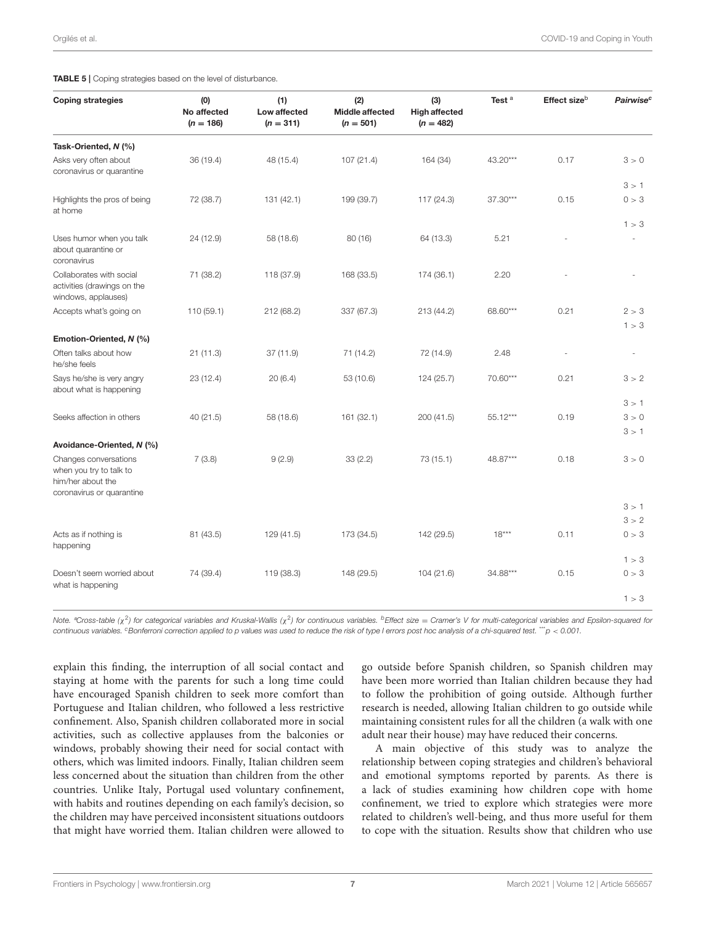<span id="page-6-0"></span>TABLE 5 | Coping strategies based on the level of disturbance.

| <b>Coping strategies</b>                                                                           | (0)<br>No affected<br>$(n = 186)$ | (1)<br>Low affected<br>$(n = 311)$ | (2)<br><b>Middle affected</b><br>$(n = 501)$ | (3)<br><b>High affected</b><br>$(n = 482)$ | Test <sup>a</sup> | Effect size <sup>b</sup> | Pairwise <sup>c</sup> |
|----------------------------------------------------------------------------------------------------|-----------------------------------|------------------------------------|----------------------------------------------|--------------------------------------------|-------------------|--------------------------|-----------------------|
| Task-Oriented, N (%)                                                                               |                                   |                                    |                                              |                                            |                   |                          |                       |
| Asks very often about<br>coronavirus or quarantine                                                 | 36 (19.4)                         | 48 (15.4)                          | 107(21.4)                                    | 164 (34)                                   | 43.20***          | 0.17                     | 3 > 0                 |
|                                                                                                    |                                   |                                    |                                              |                                            |                   |                          | 3 > 1                 |
| Highlights the pros of being<br>at home                                                            | 72 (38.7)                         | 131 (42.1)                         | 199 (39.7)                                   | 117 (24.3)                                 | 37.30***          | 0.15                     | 0 > 3                 |
|                                                                                                    |                                   |                                    |                                              |                                            |                   |                          | 1 > 3                 |
| Uses humor when you talk<br>about quarantine or<br>coronavirus                                     | 24 (12.9)                         | 58 (18.6)                          | 80(16)                                       | 64 (13.3)                                  | 5.21              |                          |                       |
| Collaborates with social<br>activities (drawings on the<br>windows, applauses)                     | 71 (38.2)                         | 118 (37.9)                         | 168 (33.5)                                   | 174 (36.1)                                 | 2.20              |                          |                       |
| Accepts what's going on                                                                            | 110 (59.1)                        | 212 (68.2)                         | 337 (67.3)                                   | 213 (44.2)                                 | 68.60***          | 0.21                     | 2 > 3                 |
|                                                                                                    |                                   |                                    |                                              |                                            |                   |                          | 1 > 3                 |
| Emotion-Oriented, N (%)                                                                            |                                   |                                    |                                              |                                            |                   |                          |                       |
| Often talks about how<br>he/she feels                                                              | 21(11.3)                          | 37 (11.9)                          | 71 (14.2)                                    | 72 (14.9)                                  | 2.48              |                          |                       |
| Says he/she is very angry<br>about what is happening                                               | 23 (12.4)                         | 20(6.4)                            | 53 (10.6)                                    | 124 (25.7)                                 | 70.60***          | 0.21                     | 3 > 2                 |
|                                                                                                    |                                   |                                    |                                              |                                            |                   |                          | 3 > 1                 |
| Seeks affection in others                                                                          | 40 (21.5)                         | 58 (18.6)                          | 161 (32.1)                                   | 200 (41.5)                                 | 55.12***          | 0.19                     | 3 > 0                 |
| Avoidance-Oriented, N (%)                                                                          |                                   |                                    |                                              |                                            |                   |                          | 3 > 1                 |
| Changes conversations<br>when you try to talk to<br>him/her about the<br>coronavirus or quarantine | 7(3.8)                            | 9(2.9)                             | 33(2.2)                                      | 73 (15.1)                                  | 48.87***          | 0.18                     | 3 > 0                 |
|                                                                                                    |                                   |                                    |                                              |                                            |                   |                          | 3 > 1                 |
|                                                                                                    |                                   |                                    |                                              |                                            |                   |                          | 3 > 2                 |
| Acts as if nothing is<br>happening                                                                 | 81 (43.5)                         | 129 (41.5)                         | 173 (34.5)                                   | 142 (29.5)                                 | $18***$           | 0.11                     | 0 > 3                 |
|                                                                                                    |                                   |                                    |                                              |                                            |                   |                          | 1 > 3                 |
| Doesn't seem worried about<br>what is happening                                                    | 74 (39.4)                         | 119 (38.3)                         | 148 (29.5)                                   | 104(21.6)                                  | 34.88***          | 0.15                     | 0 > 3                 |
|                                                                                                    |                                   |                                    |                                              |                                            |                   |                          | 1 > 3                 |

Note. ®Cross-table (χ<sup>2</sup>) for categorical variables and Kruskal-Wallis (χ<sup>2</sup>) for continuous variables. <sup>b</sup>Effect size = Cramer's V for multi-categorical variables and Epsilon-squared for continuous variables. <sup>c</sup>Bonferroni correction applied to p values was used to reduce the risk of type I errors post hoc analysis of a chi-squared test. \*\*\*p < 0.001.

explain this finding, the interruption of all social contact and staying at home with the parents for such a long time could have encouraged Spanish children to seek more comfort than Portuguese and Italian children, who followed a less restrictive confinement. Also, Spanish children collaborated more in social activities, such as collective applauses from the balconies or windows, probably showing their need for social contact with others, which was limited indoors. Finally, Italian children seem less concerned about the situation than children from the other countries. Unlike Italy, Portugal used voluntary confinement, with habits and routines depending on each family's decision, so the children may have perceived inconsistent situations outdoors that might have worried them. Italian children were allowed to go outside before Spanish children, so Spanish children may have been more worried than Italian children because they had to follow the prohibition of going outside. Although further research is needed, allowing Italian children to go outside while maintaining consistent rules for all the children (a walk with one adult near their house) may have reduced their concerns.

A main objective of this study was to analyze the relationship between coping strategies and children's behavioral and emotional symptoms reported by parents. As there is a lack of studies examining how children cope with home confinement, we tried to explore which strategies were more related to children's well-being, and thus more useful for them to cope with the situation. Results show that children who use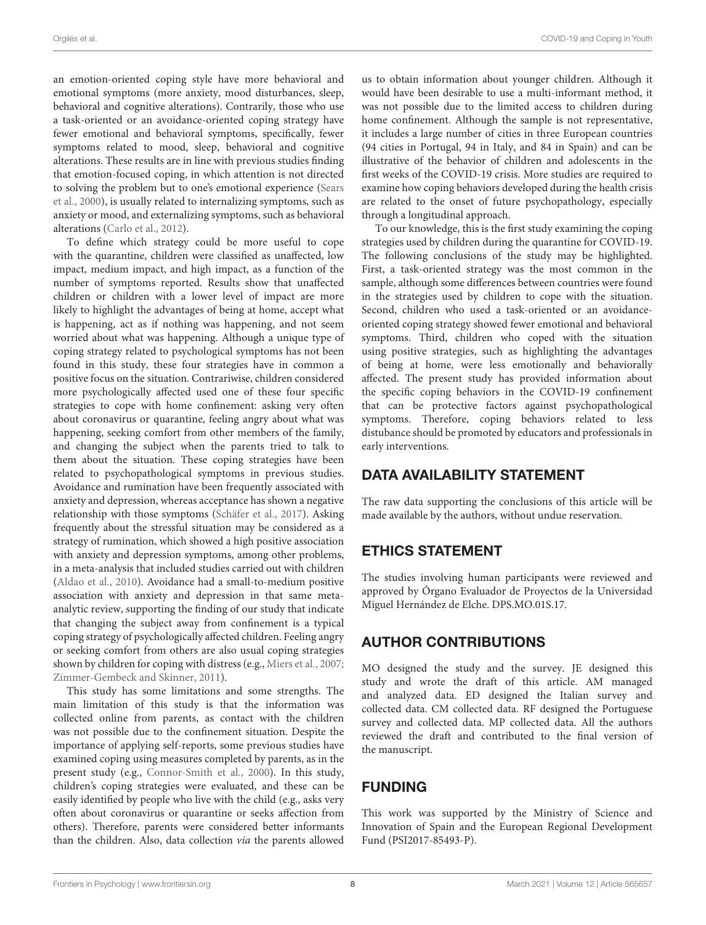an emotion-oriented coping style have more behavioral and emotional symptoms (more anxiety, mood disturbances, sleep, behavioral and cognitive alterations). Contrarily, those who use a task-oriented or an avoidance-oriented coping strategy have fewer emotional and behavioral symptoms, specifically, fewer symptoms related to mood, sleep, behavioral and cognitive alterations. These results are in line with previous studies finding that emotion-focused coping, in which attention is not directed to solving the problem but to one's emotional experience (Sears et al., [2000\)](#page-8-28), is usually related to internalizing symptoms, such as anxiety or mood, and externalizing symptoms, such as behavioral alterations [\(Carlo et al., 2012\)](#page-8-29).

To define which strategy could be more useful to cope with the quarantine, children were classified as unaffected, low impact, medium impact, and high impact, as a function of the number of symptoms reported. Results show that unaffected children or children with a lower level of impact are more likely to highlight the advantages of being at home, accept what is happening, act as if nothing was happening, and not seem worried about what was happening. Although a unique type of coping strategy related to psychological symptoms has not been found in this study, these four strategies have in common a positive focus on the situation. Contrariwise, children considered more psychologically affected used one of these four specific strategies to cope with home confinement: asking very often about coronavirus or quarantine, feeling angry about what was happening, seeking comfort from other members of the family, and changing the subject when the parents tried to talk to them about the situation. These coping strategies have been related to psychopathological symptoms in previous studies. Avoidance and rumination have been frequently associated with anxiety and depression, whereas acceptance has shown a negative relationship with those symptoms [\(Schäfer et al., 2017\)](#page-8-30). Asking frequently about the stressful situation may be considered as a strategy of rumination, which showed a high positive association with anxiety and depression symptoms, among other problems, in a meta-analysis that included studies carried out with children [\(Aldao et al., 2010\)](#page-8-31). Avoidance had a small-to-medium positive association with anxiety and depression in that same metaanalytic review, supporting the finding of our study that indicate that changing the subject away from confinement is a typical coping strategy of psychologically affected children. Feeling angry or seeking comfort from others are also usual coping strategies shown by children for coping with distress (e.g., [Miers et al., 2007;](#page-8-32) [Zimmer-Gembeck and Skinner, 2011\)](#page-8-33).

This study has some limitations and some strengths. The main limitation of this study is that the information was collected online from parents, as contact with the children was not possible due to the confinement situation. Despite the importance of applying self-reports, some previous studies have examined coping using measures completed by parents, as in the present study (e.g., [Connor-Smith et al., 2000\)](#page-8-34). In this study, children's coping strategies were evaluated, and these can be easily identified by people who live with the child (e.g., asks very often about coronavirus or quarantine or seeks affection from others). Therefore, parents were considered better informants than the children. Also, data collection via the parents allowed

us to obtain information about younger children. Although it would have been desirable to use a multi-informant method, it was not possible due to the limited access to children during home confinement. Although the sample is not representative, it includes a large number of cities in three European countries (94 cities in Portugal, 94 in Italy, and 84 in Spain) and can be illustrative of the behavior of children and adolescents in the first weeks of the COVID-19 crisis. More studies are required to examine how coping behaviors developed during the health crisis are related to the onset of future psychopathology, especially through a longitudinal approach.

To our knowledge, this is the first study examining the coping strategies used by children during the quarantine for COVID-19. The following conclusions of the study may be highlighted. First, a task-oriented strategy was the most common in the sample, although some differences between countries were found in the strategies used by children to cope with the situation. Second, children who used a task-oriented or an avoidanceoriented coping strategy showed fewer emotional and behavioral symptoms. Third, children who coped with the situation using positive strategies, such as highlighting the advantages of being at home, were less emotionally and behaviorally affected. The present study has provided information about the specific coping behaviors in the COVID-19 confinement that can be protective factors against psychopathological symptoms. Therefore, coping behaviors related to less distubance should be promoted by educators and professionals in early interventions.

### DATA AVAILABILITY STATEMENT

The raw data supporting the conclusions of this article will be made available by the authors, without undue reservation.

### ETHICS STATEMENT

The studies involving human participants were reviewed and approved by Órgano Evaluador de Proyectos de la Universidad Miguel Hernández de Elche. DPS.MO.01S.17.

# AUTHOR CONTRIBUTIONS

MO designed the study and the survey. JE designed this study and wrote the draft of this article. AM managed and analyzed data. ED designed the Italian survey and collected data. CM collected data. RF designed the Portuguese survey and collected data. MP collected data. All the authors reviewed the draft and contributed to the final version of the manuscript.

# FUNDING

This work was supported by the Ministry of Science and Innovation of Spain and the European Regional Development Fund (PSI2017-85493-P).